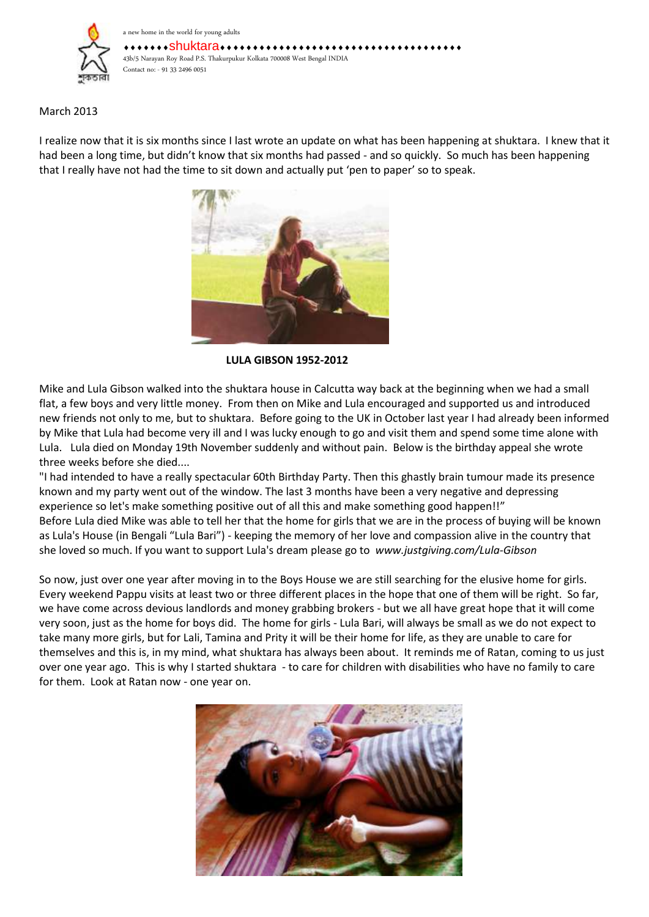

## March 2013

I realize now that it is six months since I last wrote an update on what has been happening at shuktara. I knew that it had been a long time, but didn't know that six months had passed - and so quickly. So much has been happening that I really have not had the time to sit down and actually put 'pen to paper' so to speak.



**LULA GIBSON 1952-2012**

Mike and Lula Gibson walked into the shuktara house in Calcutta way back at the beginning when we had a small flat, a few boys and very little money. From then on Mike and Lula encouraged and supported us and introduced new friends not only to me, but to shuktara. Before going to the UK in October last year I had already been informed by Mike that Lula had become very ill and I was lucky enough to go and visit them and spend some time alone with Lula. Lula died on Monday 19th November suddenly and without pain. Below is the birthday appeal she wrote three weeks before she died....

"I had intended to have a really spectacular 60th Birthday Party. Then this ghastly brain tumour made its presence known and my party went out of the window. The last 3 months have been a very negative and depressing experience so let's make something positive out of all this and make something good happen!!" Before Lula died Mike was able to tell her that the home for girls that we are in the process of buying will be known as Lula's House (in Bengali "Lula Bari") - keeping the memory of her love and compassion alive in the country that she loved so much. If you want to support Lula's dream please go to *[www.justgiving.com/Lula-Gibson](http://www.justgiving.com/Lula-Gibson)*

So now, just over one year after moving in to the Boys House we are still searching for the elusive home for girls. Every weekend Pappu visits at least two or three different places in the hope that one of them will be right. So far, we have come across devious landlords and money grabbing brokers - but we all have great hope that it will come very soon, just as the home for boys did. The home for girls - Lula Bari, will always be small as we do not expect to take many more girls, but for Lali, Tamina and Prity it will be their home for life, as they are unable to care for themselves and this is, in my mind, what shuktara has always been about. It reminds me of Ratan, coming to us just over one year ago. This is why I started shuktara - to care for children with disabilities who have no family to care for them. Look at Ratan now - one year on.

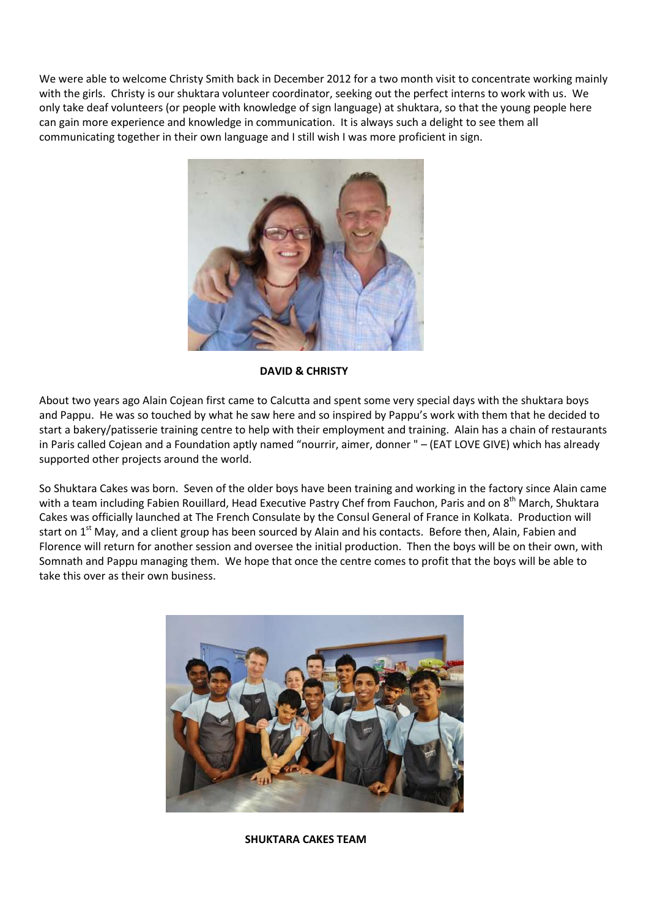We were able to welcome Christy Smith back in December 2012 for a two month visit to concentrate working mainly with the girls. Christy is our shuktara volunteer coordinator, seeking out the perfect interns to work with us. We only take deaf volunteers (or people with knowledge of sign language) at shuktara, so that the young people here can gain more experience and knowledge in communication. It is always such a delight to see them all communicating together in their own language and I still wish I was more proficient in sign.



**DAVID & CHRISTY**

About two years ago Alain Cojean first came to Calcutta and spent some very special days with the shuktara boys and Pappu. He was so touched by what he saw here and so inspired by Pappu's work with them that he decided to start a bakery/patisserie training centre to help with their employment and training. Alain has a chain of restaurants in Paris called Cojean and a Foundation aptly named "nourrir, aimer, donner " – (EAT LOVE GIVE) which has already supported other projects around the world.

So Shuktara Cakes was born. Seven of the older boys have been training and working in the factory since Alain came with a team including Fabien Rouillard, Head Executive Pastry Chef from Fauchon, Paris and on 8<sup>th</sup> March, Shuktara Cakes was officially launched at The French Consulate by the Consul General of France in Kolkata. Production will start on 1<sup>st</sup> May, and a client group has been sourced by Alain and his contacts. Before then, Alain, Fabien and Florence will return for another session and oversee the initial production. Then the boys will be on their own, with Somnath and Pappu managing them. We hope that once the centre comes to profit that the boys will be able to take this over as their own business.



**SHUKTARA CAKES TEAM**